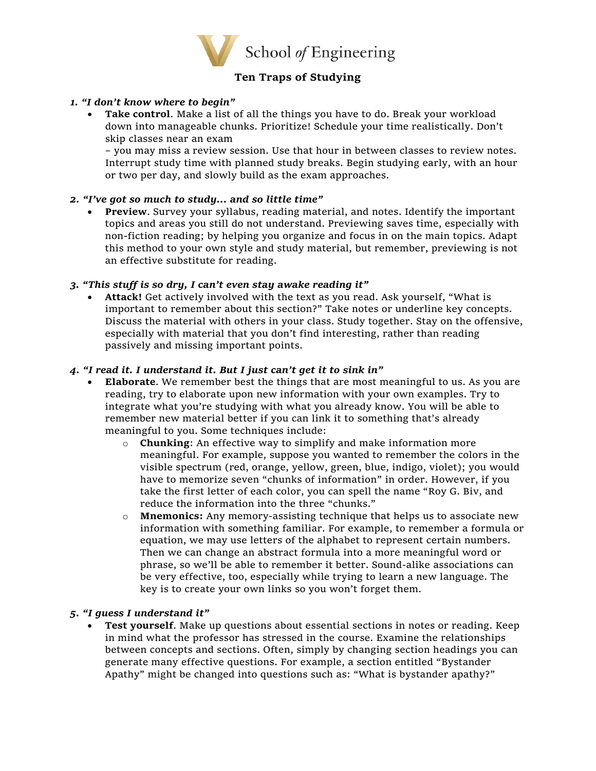

# **Ten Traps of Studying**

# *1. "I don't know where to begin"*

• **Take control**. Make a list of all the things you have to do. Break your workload down into manageable chunks. Prioritize! Schedule your time realistically. Don't skip classes near an exam

– you may miss a review session. Use that hour in between classes to review notes. Interrupt study time with planned study breaks. Begin studying early, with an hour or two per day, and slowly build as the exam approaches.

# *2. "I've got so much to study… and so little time"*

• **Preview**. Survey your syllabus, reading material, and notes. Identify the important topics and areas you still do not understand. Previewing saves time, especially with non-fiction reading; by helping you organize and focus in on the main topics. Adapt this method to your own style and study material, but remember, previewing is not an effective substitute for reading.

# *3. "This stuff is so dry, I can't even stay awake reading it"*

• **Attack!** Get actively involved with the text as you read. Ask yourself, "What is important to remember about this section?" Take notes or underline key concepts. Discuss the material with others in your class. Study together. Stay on the offensive, especially with material that you don't find interesting, rather than reading passively and missing important points.

# *4. "I read it. I understand it. But I just can't get it to sink in"*

- **Elaborate**. We remember best the things that are most meaningful to us. As you are reading, try to elaborate upon new information with your own examples. Try to integrate what you're studying with what you already know. You will be able to remember new material better if you can link it to something that's already meaningful to you. Some techniques include:
	- o **Chunking**: An effective way to simplify and make information more meaningful. For example, suppose you wanted to remember the colors in the visible spectrum (red, orange, yellow, green, blue, indigo, violet); you would have to memorize seven "chunks of information" in order. However, if you take the first letter of each color, you can spell the name "Roy G. Biv, and reduce the information into the three "chunks."
	- o **Mnemonics:** Any memory-assisting technique that helps us to associate new information with something familiar. For example, to remember a formula or equation, we may use letters of the alphabet to represent certain numbers. Then we can change an abstract formula into a more meaningful word or phrase, so we'll be able to remember it better. Sound-alike associations can be very effective, too, especially while trying to learn a new language. The key is to create your own links so you won't forget them.

# *5. "I guess I understand it"*

• **Test yourself**. Make up questions about essential sections in notes or reading. Keep in mind what the professor has stressed in the course. Examine the relationships between concepts and sections. Often, simply by changing section headings you can generate many effective questions. For example, a section entitled "Bystander Apathy" might be changed into questions such as: "What is bystander apathy?"